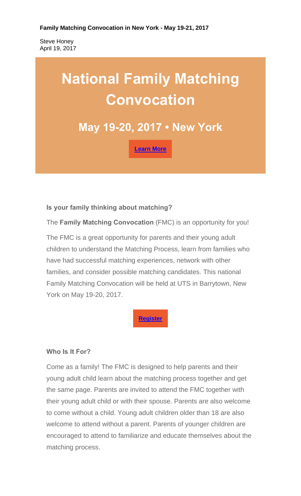Steve Honey April 19, 2017

# **National Family Matching Convocation**

# **May 19-20, 2017 • New York**

**Learn More**

## **Is your family thinking about matching?**

The **Family Matching Convocation** (FMC) is an opportunity for you!

The FMC is a great opportunity for parents and their young adult children to understand the Matching Process, learn from families who have had successful matching experiences, network with other families, and consider possible matching candidates. This national Family Matching Convocation will be held at UTS in Barrytown, New York on May 19-20, 2017.

### **Register**

#### **Who Is It For?**

Come as a family! The FMC is designed to help parents and their young adult child learn about the matching process together and get the same page. Parents are invited to attend the FMC together with their young adult child or with their spouse. Parents are also welcome to come without a child. Young adult children older than 18 are also welcome to attend without a parent. Parents of younger children are encouraged to attend to familiarize and educate themselves about the matching process.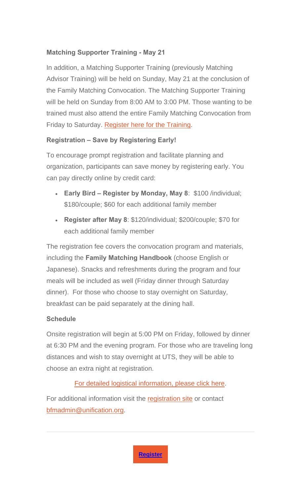## **Matching Supporter Training - May 21**

In addition, a Matching Supporter Training (previously Matching Advisor Training) will be held on Sunday, May 21 at the conclusion of the Family Matching Convocation. The Matching Supporter Training will be held on Sunday from 8:00 AM to 3:00 PM. Those wanting to be trained must also attend the entire Family Matching Convocation from Friday to Saturday. Register here for the Training.

## **Registration – Save by Registering Early!**

To encourage prompt registration and facilitate planning and organization, participants can save money by registering early. You can pay directly online by credit card:

- **Early Bird – Register by Monday, May 8**: \$100 /individual; \$180/couple; \$60 for each additional family member
- **Register after May 8**: \$120/individual; \$200/couple; \$70 for each additional family member

The registration fee covers the convocation program and materials, including the **Family Matching Handbook** (choose English or Japanese). Snacks and refreshments during the program and four meals will be included as well (Friday dinner through Saturday dinner). For those who choose to stay overnight on Saturday, breakfast can be paid separately at the dining hall.

## **Schedule**

Onsite registration will begin at 5:00 PM on Friday, followed by dinner at 6:30 PM and the evening program. For those who are traveling long distances and wish to stay overnight at UTS, they will be able to choose an extra night at registration.

## For detailed logistical information, please click here.

For additional information visit the registration site or contact bfmadmin@unification.org.